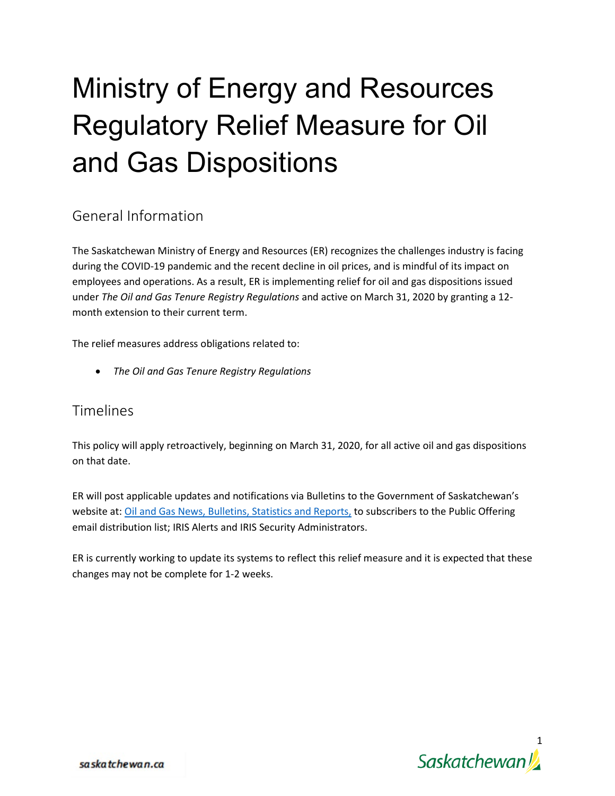## Ministry of Energy and Resources Regulatory Relief Measure for Oil and Gas Dispositions

## General Information

The Saskatchewan Ministry of Energy and Resources (ER) recognizes the challenges industry is facing during the COVID-19 pandemic and the recent decline in oil prices, and is mindful of its impact on employees and operations. As a result, ER is implementing relief for oil and gas dispositions issued under *The Oil and Gas Tenure Registry Regulations* and active on March 31, 2020 by granting a 12 month extension to their current term.

The relief measures address obligations related to:

• *The Oil and Gas Tenure Registry Regulations*

## Timelines

This policy will apply retroactively, beginning on March 31, 2020, for all active oil and gas dispositions on that date.

ER will post applicable updates and notifications via Bulletins to the Government of Saskatchewan's website at: [Oil and Gas News, Bulletins, Statistics and Reports,](https://www.saskatchewan.ca/business/agriculture-natural-resources-and-industry/oil-and-gas/oil-and-gas-news-and-bulletins) to subscribers to the Public Offering email distribution list; IRIS Alerts and IRIS Security Administrators.

ER is currently working to update its systems to reflect this relief measure and it is expected that these changes may not be complete for 1-2 weeks.